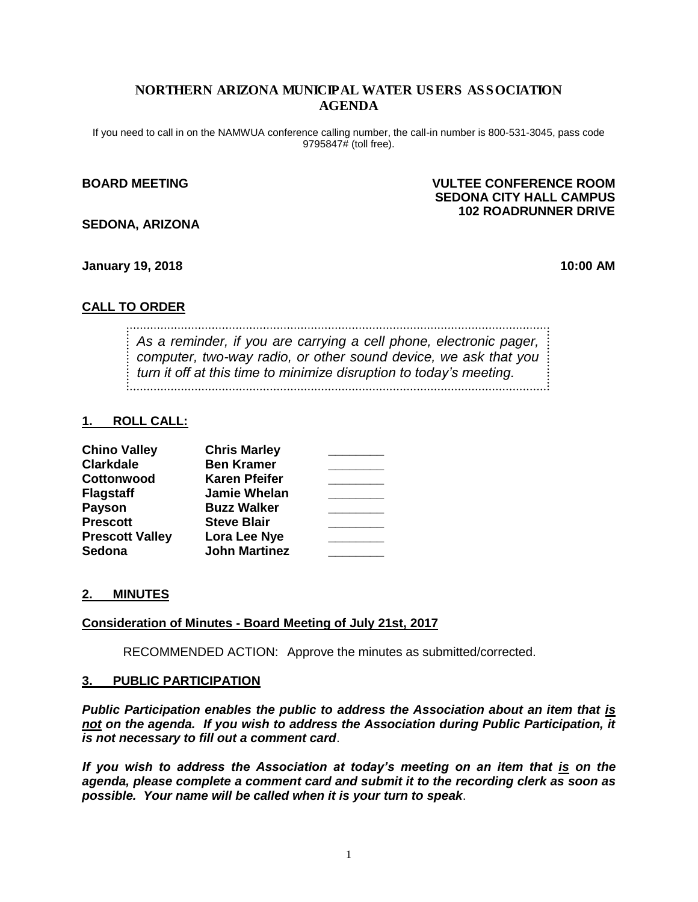#### NORTHERN ARIZONA MUNICIPAL WATER USERS ASSOCIATION AGENDA

If you need to call in on the NAMWUA conference calling number, the call-in number is 800-531-3045, pass code 9795847# (toll free).

#### **BOARD MEETING VULTEE CONFERENCE ROOM SEDONA CITY HALL CAMPUS 102 ROADRUNNER DRIVE**

**SEDONA, ARIZONA**

**January 19, 2018 10:00 AM**

#### **CALL TO ORDER**

*As a reminder, if you are carrying a cell phone, electronic pager, computer, two-way radio, or other sound device, we ask that you turn it off at this time to minimize disruption to today's meeting.*

#### **1. ROLL CALL:**

| <b>Chino Valley</b>    | <b>Chris Marley</b>  |  |
|------------------------|----------------------|--|
| <b>Clarkdale</b>       | <b>Ben Kramer</b>    |  |
| Cottonwood             | <b>Karen Pfeifer</b> |  |
| <b>Flagstaff</b>       | <b>Jamie Whelan</b>  |  |
| <b>Payson</b>          | <b>Buzz Walker</b>   |  |
| <b>Prescott</b>        | <b>Steve Blair</b>   |  |
| <b>Prescott Valley</b> | Lora Lee Nye         |  |
| <b>Sedona</b>          | <b>John Martinez</b> |  |

#### **2. MINUTES**

#### **Consideration of Minutes - Board Meeting of July 21st, 2017**

RECOMMENDED ACTION: Approve the minutes as submitted/corrected.

#### **3. PUBLIC PARTICIPATION**

*Public Participation enables the public to address the Association about an item that is not on the agenda. If you wish to address the Association during Public Participation, it is not necessary to fill out a comment card*.

*If you wish to address the Association at today's meeting on an item that is on the agenda, please complete a comment card and submit it to the recording clerk as soon as possible. Your name will be called when it is your turn to speak*.